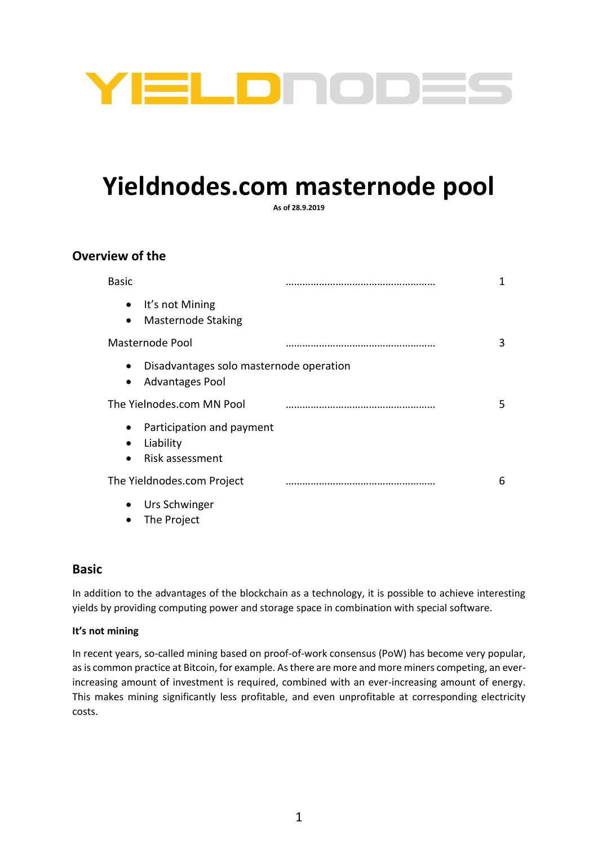

# **Yieldnodes.com masternode pool**

**As of 28.9.2019**

## **Overview of the**

| <b>Basic</b>                                                                         | 1  |
|--------------------------------------------------------------------------------------|----|
| It's not Mining<br>$\bullet$<br>Masternode Staking<br>$\bullet$                      |    |
| Masternode Pool                                                                      | 3  |
| Disadvantages solo masternode operation<br>$\bullet$<br>Advantages Pool<br>$\bullet$ |    |
| The Yielnodes.com MN Pool                                                            | 5. |
| Participation and payment<br>$\bullet$<br>Liability<br>Risk assessment               |    |
| The Yieldnodes.com Project                                                           | 6  |
| Urs Schwinger                                                                        |    |

## • The Project

## **Basic**

In addition to the advantages of the blockchain as a technology, it is possible to achieve interesting yields by providing computing power and storage space in combination with special software.

## **It's not mining**

In recent years, so-called mining based on proof-of-work consensus (PoW) has become very popular, as is common practice at Bitcoin, for example. As there are more and more miners competing, an everincreasing amount of investment is required, combined with an ever-increasing amount of energy. This makes mining significantly less profitable, and even unprofitable at corresponding electricity costs.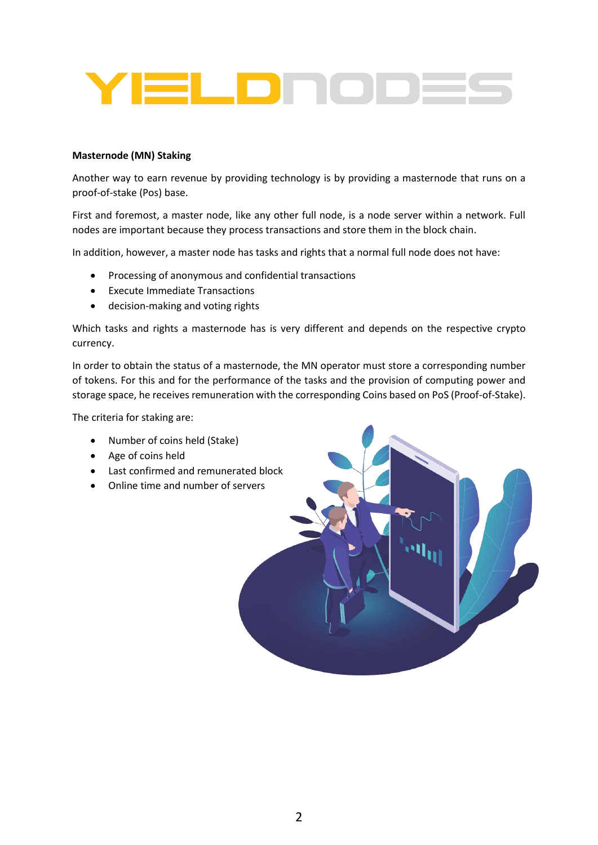

#### **Masternode (MN) Staking**

Another way to earn revenue by providing technology is by providing a masternode that runs on a proof-of-stake (Pos) base.

First and foremost, a master node, like any other full node, is a node server within a network. Full nodes are important because they process transactions and store them in the block chain.

In addition, however, a master node has tasks and rights that a normal full node does not have:

- Processing of anonymous and confidential transactions
- Execute Immediate Transactions
- decision-making and voting rights

Which tasks and rights a masternode has is very different and depends on the respective crypto currency.

In order to obtain the status of a masternode, the MN operator must store a corresponding number of tokens. For this and for the performance of the tasks and the provision of computing power and storage space, he receives remuneration with the corresponding Coins based on PoS (Proof-of-Stake).

The criteria for staking are:

- Number of coins held (Stake)
- Age of coins held
- Last confirmed and remunerated block
- Online time and number of servers

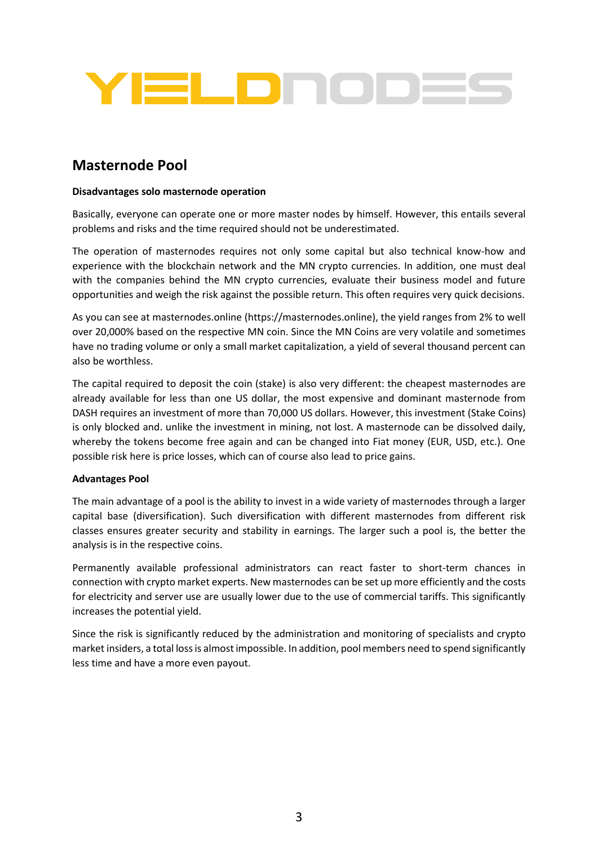

# **Masternode Pool**

#### **Disadvantages solo masternode operation**

Basically, everyone can operate one or more master nodes by himself. However, this entails several problems and risks and the time required should not be underestimated.

The operation of masternodes requires not only some capital but also technical know-how and experience with the blockchain network and the MN crypto currencies. In addition, one must deal with the companies behind the MN crypto currencies, evaluate their business model and future opportunities and weigh the risk against the possible return. This often requires very quick decisions.

As you can see at masternodes.online (https://masternodes.online), the yield ranges from 2% to well over 20,000% based on the respective MN coin. Since the MN Coins are very volatile and sometimes have no trading volume or only a small market capitalization, a yield of several thousand percent can also be worthless.

The capital required to deposit the coin (stake) is also very different: the cheapest masternodes are already available for less than one US dollar, the most expensive and dominant masternode from DASH requires an investment of more than 70,000 US dollars. However, this investment (Stake Coins) is only blocked and. unlike the investment in mining, not lost. A masternode can be dissolved daily, whereby the tokens become free again and can be changed into Fiat money (EUR, USD, etc.). One possible risk here is price losses, which can of course also lead to price gains.

#### **Advantages Pool**

The main advantage of a pool is the ability to invest in a wide variety of masternodes through a larger capital base (diversification). Such diversification with different masternodes from different risk classes ensures greater security and stability in earnings. The larger such a pool is, the better the analysis is in the respective coins.

Permanently available professional administrators can react faster to short-term chances in connection with crypto market experts. New masternodes can be set up more efficiently and the costs for electricity and server use are usually lower due to the use of commercial tariffs. This significantly increases the potential yield.

Since the risk is significantly reduced by the administration and monitoring of specialists and crypto market insiders, a total loss is almost impossible. In addition, pool members need to spend significantly less time and have a more even payout.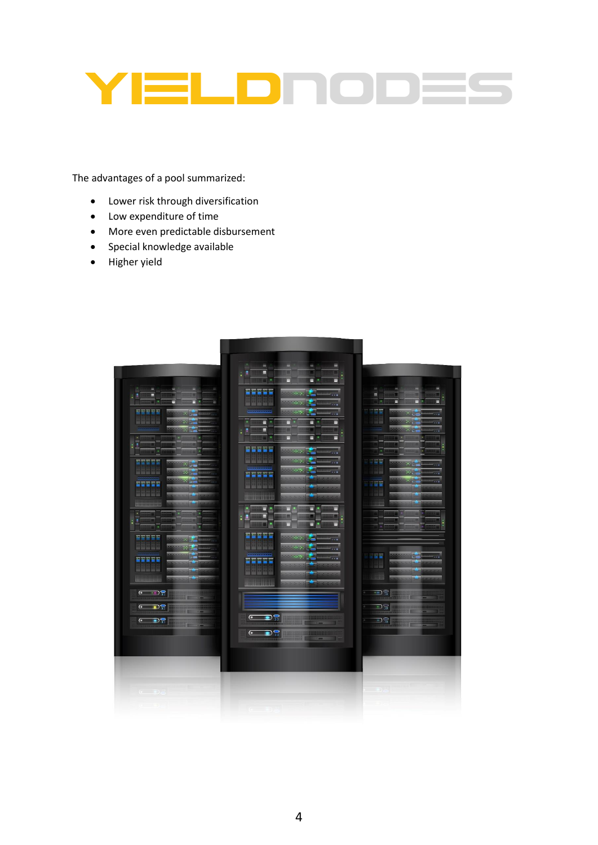

The advantages of a pool summarized:

- Lower risk through diversification
- Low expenditure of time
- More even predictable disbursement
- Special knowledge available
- Higher yield

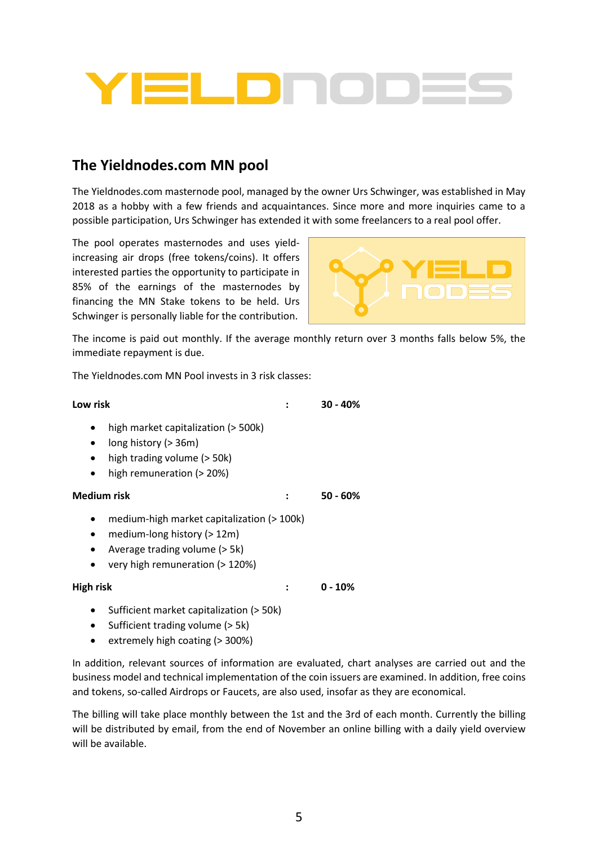

## **The Yieldnodes.com MN pool**

The Yieldnodes.com masternode pool, managed by the owner Urs Schwinger, was established in May 2018 as a hobby with a few friends and acquaintances. Since more and more inquiries came to a possible participation, Urs Schwinger has extended it with some freelancers to a real pool offer.

The pool operates masternodes and uses yieldincreasing air drops (free tokens/coins). It offers interested parties the opportunity to participate in 85% of the earnings of the masternodes by financing the MN Stake tokens to be held. Urs Schwinger is personally liable for the contribution.



The income is paid out monthly. If the average monthly return over 3 months falls below 5%, the immediate repayment is due.

The Yieldnodes.com MN Pool invests in 3 risk classes:

| Low risk                                 |                                                                                                                                                  | $30 - 40%$ |
|------------------------------------------|--------------------------------------------------------------------------------------------------------------------------------------------------|------------|
| $\bullet$<br>٠<br>$\bullet$<br>$\bullet$ | high market capitalization (> 500k)<br>long history (> 36m)<br>high trading volume (> 50k)<br>high remuneration ( $>$ 20%)                       |            |
| <b>Medium risk</b>                       |                                                                                                                                                  | 50 - 60%   |
| $\bullet$<br>٠<br>$\bullet$<br>$\bullet$ | medium-high market capitalization (> 100k)<br>medium-long history ( $>12m$ )<br>Average trading volume (> 5k)<br>very high remuneration (> 120%) |            |
| High risk                                |                                                                                                                                                  | U - 10%    |

- Sufficient market capitalization (> 50k)
- Sufficient trading volume (> 5k)
- extremely high coating (> 300%)

In addition, relevant sources of information are evaluated, chart analyses are carried out and the business model and technical implementation of the coin issuers are examined. In addition, free coins and tokens, so-called Airdrops or Faucets, are also used, insofar as they are economical.

The billing will take place monthly between the 1st and the 3rd of each month. Currently the billing will be distributed by email, from the end of November an online billing with a daily yield overview will be available.